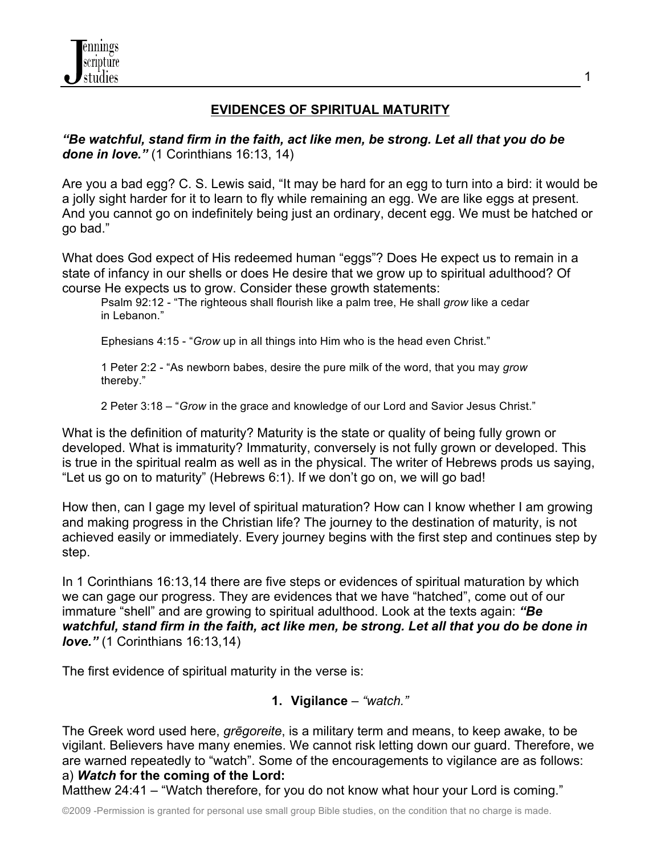

# **EVIDENCES OF SPIRITUAL MATURITY**

*"Be watchful, stand firm in the faith, act like men, be strong. Let all that you do be done in love."* (1 Corinthians 16:13, 14)

Are you a bad egg? C. S. Lewis said, "It may be hard for an egg to turn into a bird: it would be a jolly sight harder for it to learn to fly while remaining an egg. We are like eggs at present. And you cannot go on indefinitely being just an ordinary, decent egg. We must be hatched or go bad."

What does God expect of His redeemed human "eggs"? Does He expect us to remain in a state of infancy in our shells or does He desire that we grow up to spiritual adulthood? Of course He expects us to grow. Consider these growth statements:

Psalm 92:12 - "The righteous shall flourish like a palm tree, He shall *grow* like a cedar in Lebanon."

Ephesians 4:15 - "*Grow* up in all things into Him who is the head even Christ."

1 Peter 2:2 - "As newborn babes, desire the pure milk of the word, that you may *grow* thereby."

2 Peter 3:18 – "*Grow* in the grace and knowledge of our Lord and Savior Jesus Christ."

What is the definition of maturity? Maturity is the state or quality of being fully grown or developed. What is immaturity? Immaturity, conversely is not fully grown or developed. This is true in the spiritual realm as well as in the physical. The writer of Hebrews prods us saying, "Let us go on to maturity" (Hebrews 6:1). If we don't go on, we will go bad!

How then, can I gage my level of spiritual maturation? How can I know whether I am growing and making progress in the Christian life? The journey to the destination of maturity, is not achieved easily or immediately. Every journey begins with the first step and continues step by step.

In 1 Corinthians 16:13,14 there are five steps or evidences of spiritual maturation by which we can gage our progress. They are evidences that we have "hatched", come out of our immature "shell" and are growing to spiritual adulthood. Look at the texts again: *"Be watchful, stand firm in the faith, act like men, be strong. Let all that you do be done in love."* (1 Corinthians 16:13,14)

The first evidence of spiritual maturity in the verse is:

# **1. Vigilance** – *"watch."*

The Greek word used here, *grēgoreite*, is a military term and means, to keep awake, to be vigilant. Believers have many enemies. We cannot risk letting down our guard. Therefore, we are warned repeatedly to "watch". Some of the encouragements to vigilance are as follows: a) *Watch* **for the coming of the Lord:** 

Matthew 24:41 – "Watch therefore, for you do not know what hour your Lord is coming."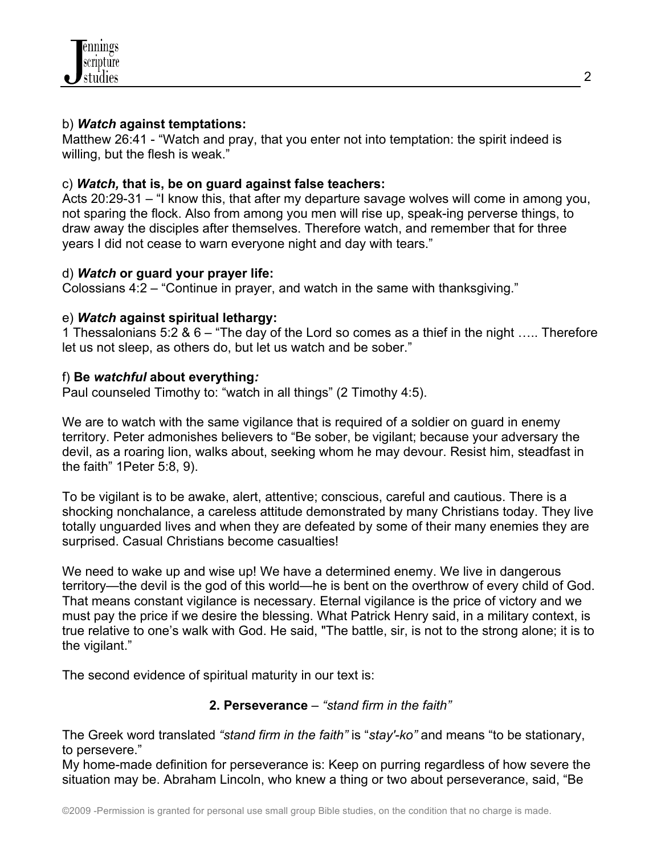

### b) *Watch* **against temptations:**

Matthew 26:41 - "Watch and pray, that you enter not into temptation: the spirit indeed is willing, but the flesh is weak."

## c) *Watch,* **that is, be on guard against false teachers:**

Acts 20:29-31 – "I know this, that after my departure savage wolves will come in among you, not sparing the flock. Also from among you men will rise up, speak-ing perverse things, to draw away the disciples after themselves. Therefore watch, and remember that for three years I did not cease to warn everyone night and day with tears."

### d) *Watch* **or guard your prayer life:**

Colossians 4:2 – "Continue in prayer, and watch in the same with thanksgiving."

### e) *Watch* **against spiritual lethargy:**

1 Thessalonians 5:2 & 6 – "The day of the Lord so comes as a thief in the night ….. Therefore let us not sleep, as others do, but let us watch and be sober."

### f) **Be** *watchful* **about everything***:*

Paul counseled Timothy to: "watch in all things" (2 Timothy 4:5).

We are to watch with the same vigilance that is required of a soldier on guard in enemy territory. Peter admonishes believers to "Be sober, be vigilant; because your adversary the devil, as a roaring lion, walks about, seeking whom he may devour. Resist him, steadfast in the faith" 1Peter 5:8, 9).

To be vigilant is to be awake, alert, attentive; conscious, careful and cautious. There is a shocking nonchalance, a careless attitude demonstrated by many Christians today. They live totally unguarded lives and when they are defeated by some of their many enemies they are surprised. Casual Christians become casualties!

We need to wake up and wise up! We have a determined enemy. We live in dangerous territory—the devil is the god of this world—he is bent on the overthrow of every child of God. That means constant vigilance is necessary. Eternal vigilance is the price of victory and we must pay the price if we desire the blessing. What Patrick Henry said, in a military context, is true relative to one's walk with God. He said, "The battle, sir, is not to the strong alone; it is to the vigilant."

The second evidence of spiritual maturity in our text is:

# **2. Perseverance** – *"stand firm in the faith"*

The Greek word translated *"stand firm in the faith"* is "*stay'-ko"* and means "to be stationary, to persevere."

My home-made definition for perseverance is: Keep on purring regardless of how severe the situation may be. Abraham Lincoln, who knew a thing or two about perseverance, said, "Be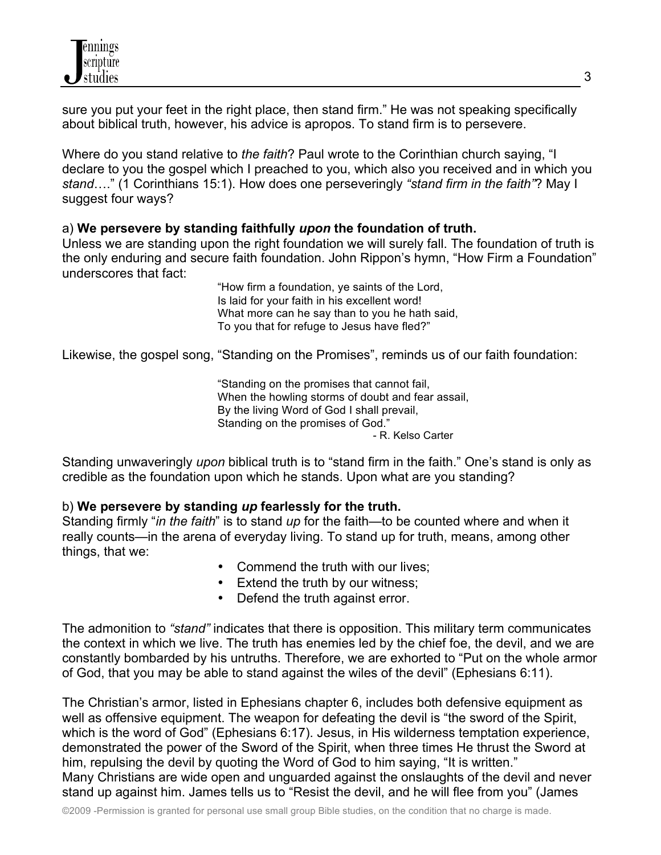

sure you put your feet in the right place, then stand firm." He was not speaking specifically about biblical truth, however, his advice is apropos. To stand firm is to persevere.

Where do you stand relative to *the faith*? Paul wrote to the Corinthian church saying, "I declare to you the gospel which I preached to you, which also you received and in which you *stand*…." (1 Corinthians 15:1). How does one perseveringly *"stand firm in the faith"*? May I suggest four ways?

#### a) **We persevere by standing faithfully** *upon* **the foundation of truth.**

Unless we are standing upon the right foundation we will surely fall. The foundation of truth is the only enduring and secure faith foundation. John Rippon's hymn, "How Firm a Foundation" underscores that fact:

> "How firm a foundation, ye saints of the Lord, Is laid for your faith in his excellent word! What more can he say than to you he hath said, To you that for refuge to Jesus have fled?"

Likewise, the gospel song, "Standing on the Promises", reminds us of our faith foundation:

"Standing on the promises that cannot fail, When the howling storms of doubt and fear assail, By the living Word of God I shall prevail, Standing on the promises of God." - R. Kelso Carter

Standing unwaveringly *upon* biblical truth is to "stand firm in the faith." One's stand is only as credible as the foundation upon which he stands. Upon what are you standing?

### b) **We persevere by standing** *up* **fearlessly for the truth.**

Standing firmly "*in the faith*" is to stand *up* for the faith—to be counted where and when it really counts—in the arena of everyday living. To stand up for truth, means, among other things, that we:

- Commend the truth with our lives;
- Extend the truth by our witness;
- Defend the truth against error.

The admonition to *"stand"* indicates that there is opposition. This military term communicates the context in which we live. The truth has enemies led by the chief foe, the devil, and we are constantly bombarded by his untruths. Therefore, we are exhorted to "Put on the whole armor of God, that you may be able to stand against the wiles of the devil" (Ephesians 6:11).

The Christian's armor, listed in Ephesians chapter 6, includes both defensive equipment as well as offensive equipment. The weapon for defeating the devil is "the sword of the Spirit, which is the word of God" (Ephesians 6:17). Jesus, in His wilderness temptation experience, demonstrated the power of the Sword of the Spirit, when three times He thrust the Sword at him, repulsing the devil by quoting the Word of God to him saying, "It is written." Many Christians are wide open and unguarded against the onslaughts of the devil and never stand up against him. James tells us to "Resist the devil, and he will flee from you" (James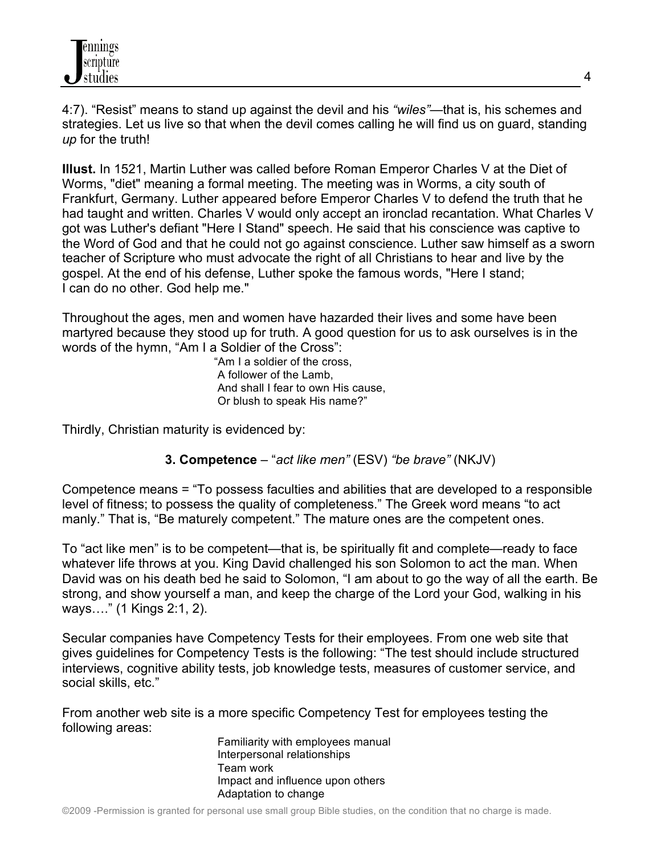4:7). "Resist" means to stand up against the devil and his *"wiles"*—that is, his schemes and strategies. Let us live so that when the devil comes calling he will find us on guard, standing *up* for the truth!

**Illust.** In 1521, Martin Luther was called before Roman Emperor Charles V at the Diet of Worms, "diet" meaning a formal meeting. The meeting was in Worms, a city south of Frankfurt, Germany. Luther appeared before Emperor Charles V to defend the truth that he had taught and written. Charles V would only accept an ironclad recantation. What Charles V got was Luther's defiant "Here I Stand" speech. He said that his conscience was captive to the Word of God and that he could not go against conscience. Luther saw himself as a sworn teacher of Scripture who must advocate the right of all Christians to hear and live by the gospel. At the end of his defense, Luther spoke the famous words, "Here I stand; I can do no other. God help me."

Throughout the ages, men and women have hazarded their lives and some have been martyred because they stood up for truth. A good question for us to ask ourselves is in the words of the hymn, "Am I a Soldier of the Cross":

 "Am I a soldier of the cross, A follower of the Lamb, And shall I fear to own His cause, Or blush to speak His name?"

Thirdly, Christian maturity is evidenced by:

# **3. Competence** – "*act like men"* (ESV) *"be brave"* (NKJV)

Competence means = "To possess faculties and abilities that are developed to a responsible level of fitness; to possess the quality of completeness." The Greek word means "to act manly." That is, "Be maturely competent." The mature ones are the competent ones.

To "act like men" is to be competent—that is, be spiritually fit and complete—ready to face whatever life throws at you. King David challenged his son Solomon to act the man. When David was on his death bed he said to Solomon, "I am about to go the way of all the earth. Be strong, and show yourself a man, and keep the charge of the Lord your God, walking in his ways…." (1 Kings 2:1, 2).

Secular companies have Competency Tests for their employees. From one web site that gives guidelines for Competency Tests is the following: "The test should include structured interviews, cognitive ability tests, job knowledge tests, measures of customer service, and social skills, etc."

From another web site is a more specific Competency Test for employees testing the following areas:

Familiarity with employees manual Interpersonal relationships Team work Impact and influence upon others Adaptation to change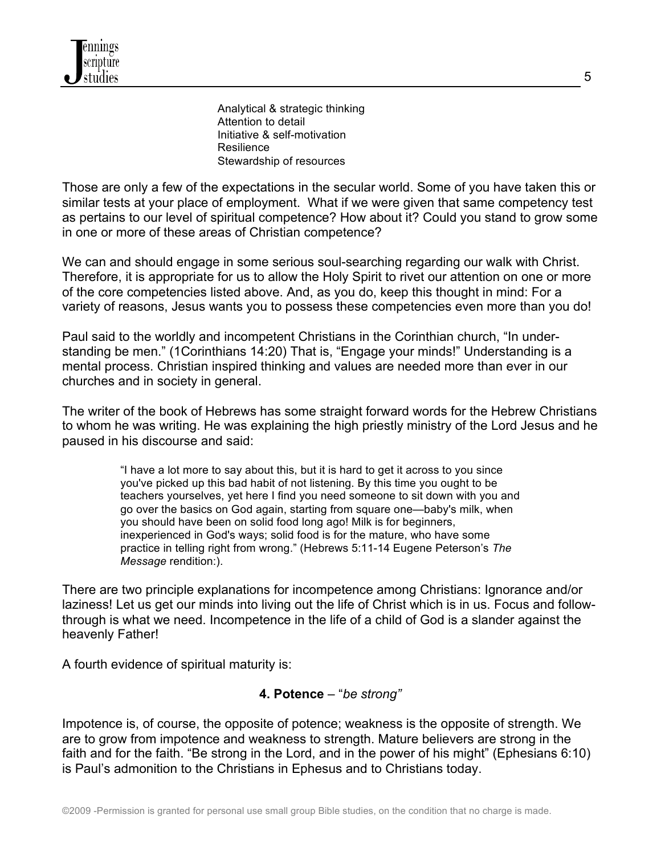Analytical & strategic thinking Attention to detail Initiative & self-motivation Resilience Stewardship of resources

Those are only a few of the expectations in the secular world. Some of you have taken this or similar tests at your place of employment. What if we were given that same competency test as pertains to our level of spiritual competence? How about it? Could you stand to grow some in one or more of these areas of Christian competence?

We can and should engage in some serious soul-searching regarding our walk with Christ. Therefore, it is appropriate for us to allow the Holy Spirit to rivet our attention on one or more of the core competencies listed above. And, as you do, keep this thought in mind: For a variety of reasons, Jesus wants you to possess these competencies even more than you do!

Paul said to the worldly and incompetent Christians in the Corinthian church, "In understanding be men." (1Corinthians 14:20) That is, "Engage your minds!" Understanding is a mental process. Christian inspired thinking and values are needed more than ever in our churches and in society in general.

The writer of the book of Hebrews has some straight forward words for the Hebrew Christians to whom he was writing. He was explaining the high priestly ministry of the Lord Jesus and he paused in his discourse and said:

> "I have a lot more to say about this, but it is hard to get it across to you since you've picked up this bad habit of not listening. By this time you ought to be teachers yourselves, yet here I find you need someone to sit down with you and go over the basics on God again, starting from square one—baby's milk, when you should have been on solid food long ago! Milk is for beginners, inexperienced in God's ways; solid food is for the mature, who have some practice in telling right from wrong." (Hebrews 5:11-14 Eugene Peterson's *The Message* rendition:).

There are two principle explanations for incompetence among Christians: Ignorance and/or laziness! Let us get our minds into living out the life of Christ which is in us. Focus and followthrough is what we need. Incompetence in the life of a child of God is a slander against the heavenly Father!

A fourth evidence of spiritual maturity is:

### **4. Potence** – "*be strong"*

Impotence is, of course, the opposite of potence; weakness is the opposite of strength. We are to grow from impotence and weakness to strength. Mature believers are strong in the faith and for the faith. "Be strong in the Lord, and in the power of his might" (Ephesians 6:10) is Paul's admonition to the Christians in Ephesus and to Christians today.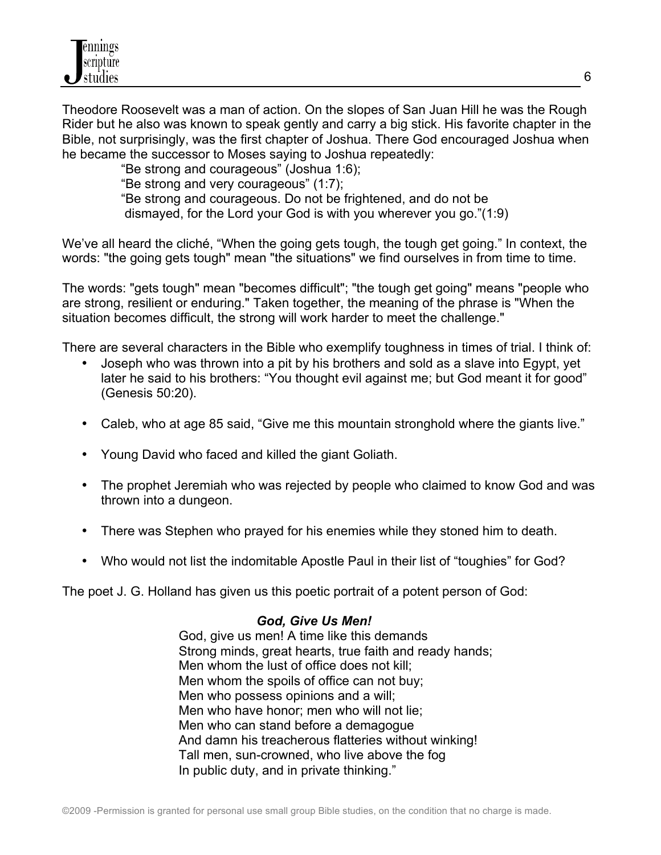Theodore Roosevelt was a man of action. On the slopes of San Juan Hill he was the Rough Rider but he also was known to speak gently and carry a big stick. His favorite chapter in the Bible, not surprisingly, was the first chapter of Joshua. There God encouraged Joshua when he became the successor to Moses saying to Joshua repeatedly:

"Be strong and courageous" (Joshua 1:6);

"Be strong and very courageous" (1:7);

"Be strong and courageous. Do not be frightened, and do not be

dismayed, for the Lord your God is with you wherever you go."(1:9)

We've all heard the cliché, "When the going gets tough, the tough get going." In context, the words: "the going gets tough" mean "the situations" we find ourselves in from time to time.

The words: "gets tough" mean "becomes difficult"; "the tough get going" means "people who are strong, resilient or enduring." Taken together, the meaning of the phrase is "When the situation becomes difficult, the strong will work harder to meet the challenge."

There are several characters in the Bible who exemplify toughness in times of trial. I think of:

- Joseph who was thrown into a pit by his brothers and sold as a slave into Egypt, yet later he said to his brothers: "You thought evil against me; but God meant it for good" (Genesis 50:20).
- Caleb, who at age 85 said, "Give me this mountain stronghold where the giants live."
- Young David who faced and killed the giant Goliath.
- The prophet Jeremiah who was rejected by people who claimed to know God and was thrown into a dungeon.
- There was Stephen who prayed for his enemies while they stoned him to death.
- Who would not list the indomitable Apostle Paul in their list of "toughies" for God?

The poet J. G. Holland has given us this poetic portrait of a potent person of God:

# *God, Give Us Men!*

God, give us men! A time like this demands Strong minds, great hearts, true faith and ready hands; Men whom the lust of office does not kill; Men whom the spoils of office can not buy; Men who possess opinions and a will; Men who have honor; men who will not lie; Men who can stand before a demagogue And damn his treacherous flatteries without winking! Tall men, sun-crowned, who live above the fog In public duty, and in private thinking."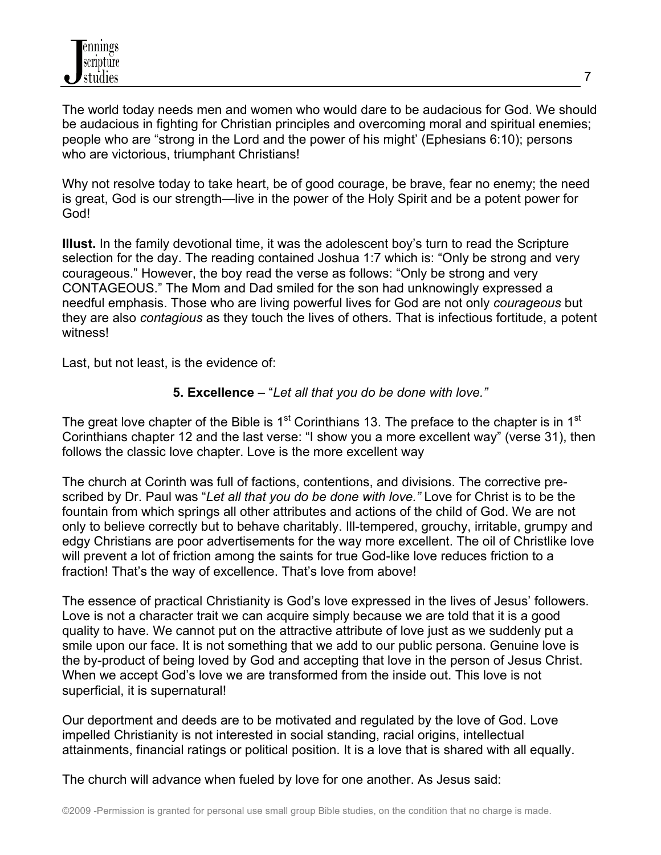The world today needs men and women who would dare to be audacious for God. We should be audacious in fighting for Christian principles and overcoming moral and spiritual enemies; people who are "strong in the Lord and the power of his might' (Ephesians 6:10); persons who are victorious, triumphant Christians!

Why not resolve today to take heart, be of good courage, be brave, fear no enemy; the need is great, God is our strength—live in the power of the Holy Spirit and be a potent power for God!

**Illust.** In the family devotional time, it was the adolescent boy's turn to read the Scripture selection for the day. The reading contained Joshua 1:7 which is: "Only be strong and very courageous." However, the boy read the verse as follows: "Only be strong and very CONTAGEOUS." The Mom and Dad smiled for the son had unknowingly expressed a needful emphasis. Those who are living powerful lives for God are not only *courageous* but they are also *contagious* as they touch the lives of others. That is infectious fortitude, a potent witness!

Last, but not least, is the evidence of:

# **5. Excellence** – "*Let all that you do be done with love."*

The great love chapter of the Bible is  $1<sup>st</sup>$  Corinthians 13. The preface to the chapter is in  $1<sup>st</sup>$ Corinthians chapter 12 and the last verse: "I show you a more excellent way" (verse 31), then follows the classic love chapter. Love is the more excellent way

The church at Corinth was full of factions, contentions, and divisions. The corrective prescribed by Dr. Paul was "*Let all that you do be done with love."* Love for Christ is to be the fountain from which springs all other attributes and actions of the child of God. We are not only to believe correctly but to behave charitably. Ill-tempered, grouchy, irritable, grumpy and edgy Christians are poor advertisements for the way more excellent. The oil of Christlike love will prevent a lot of friction among the saints for true God-like love reduces friction to a fraction! That's the way of excellence. That's love from above!

The essence of practical Christianity is God's love expressed in the lives of Jesus' followers. Love is not a character trait we can acquire simply because we are told that it is a good quality to have. We cannot put on the attractive attribute of love just as we suddenly put a smile upon our face. It is not something that we add to our public persona. Genuine love is the by-product of being loved by God and accepting that love in the person of Jesus Christ. When we accept God's love we are transformed from the inside out. This love is not superficial, it is supernatural!

Our deportment and deeds are to be motivated and regulated by the love of God. Love impelled Christianity is not interested in social standing, racial origins, intellectual attainments, financial ratings or political position. It is a love that is shared with all equally.

The church will advance when fueled by love for one another. As Jesus said: